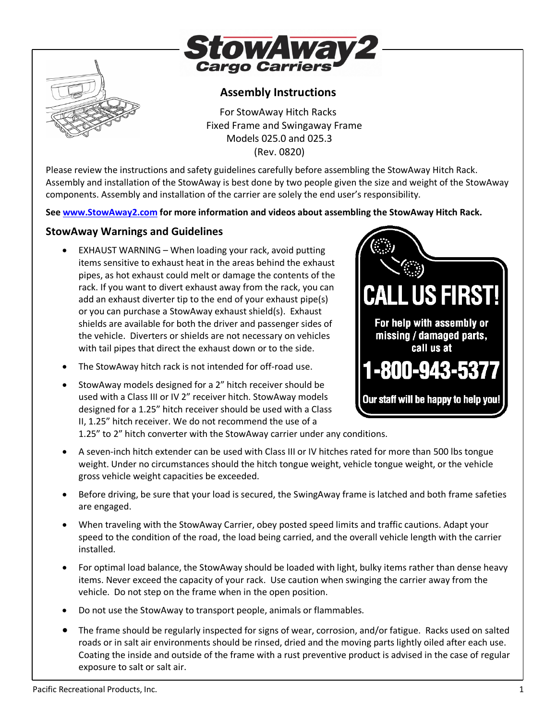



# **Assembly Instructions**

For StowAway Hitch Racks Fixed Frame and Swingaway Frame Models 025.0 and 025.3 (Rev. 0820)

Please review the instructions and safety guidelines carefully before assembling the StowAway Hitch Rack. Assembly and installation of the StowAway is best done by two people given the size and weight of the StowAway components. Assembly and installation of the carrier are solely the end user's responsibility.

**See [www.StowAway2.com](http://www.stowaway2.com/) for more information and videos about assembling the StowAway Hitch Rack.** 

# **StowAway Warnings and Guidelines**

- EXHAUST WARNING When loading your rack, avoid putting items sensitive to exhaust heat in the areas behind the exhaust pipes, as hot exhaust could melt or damage the contents of the rack. If you want to divert exhaust away from the rack, you can add an exhaust diverter tip to the end of your exhaust pipe(s) or you can purchase a StowAway exhaust shield(s). Exhaust shields are available for both the driver and passenger sides of the vehicle. Diverters or shields are not necessary on vehicles with tail pipes that direct the exhaust down or to the side.
- The StowAway hitch rack is not intended for off-road use.
- StowAway models designed for a 2" hitch receiver should be used with a Class III or IV 2" receiver hitch. StowAway models designed for a 1.25" hitch receiver should be used with a Class II, 1.25" hitch receiver. We do not recommend the use of a



1.25" to 2" hitch converter with the StowAway carrier under any conditions.

- A seven-inch hitch extender can be used with Class III or IV hitches rated for more than 500 lbs tongue weight. Under no circumstances should the hitch tongue weight, vehicle tongue weight, or the vehicle gross vehicle weight capacities be exceeded.
- Before driving, be sure that your load is secured, the SwingAway frame is latched and both frame safeties are engaged.
- When traveling with the StowAway Carrier, obey posted speed limits and traffic cautions. Adapt your speed to the condition of the road, the load being carried, and the overall vehicle length with the carrier installed.
- For optimal load balance, the StowAway should be loaded with light, bulky items rather than dense heavy items. Never exceed the capacity of your rack. Use caution when swinging the carrier away from the vehicle. Do not step on the frame when in the open position.
- Do not use the StowAway to transport people, animals or flammables.
- The frame should be regularly inspected for signs of wear, corrosion, and/or fatigue. Racks used on salted roads or in salt air environments should be rinsed, dried and the moving parts lightly oiled after each use. Coating the inside and outside of the frame with a rust preventive product is advised in the case of regular exposure to salt or salt air.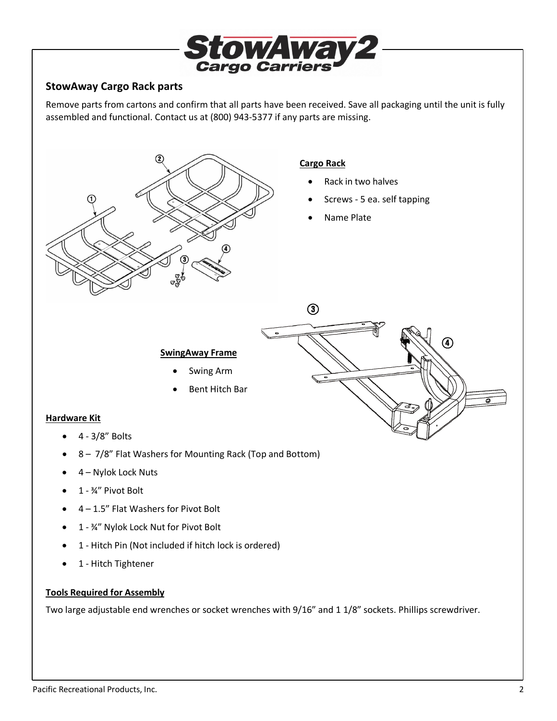

### **StowAway Cargo Rack parts**

Remove parts from cartons and confirm that all parts have been received. Save all packaging until the unit is fully assembled and functional. Contact us at (800) 943-5377 if any parts are missing.



- 1 ¾" Nylok Lock Nut for Pivot Bolt
- 1 Hitch Pin (Not included if hitch lock is ordered)
- 1 Hitch Tightener

#### **Tools Required for Assembly**

Two large adjustable end wrenches or socket wrenches with 9/16" and 1 1/8" sockets. Phillips screwdriver.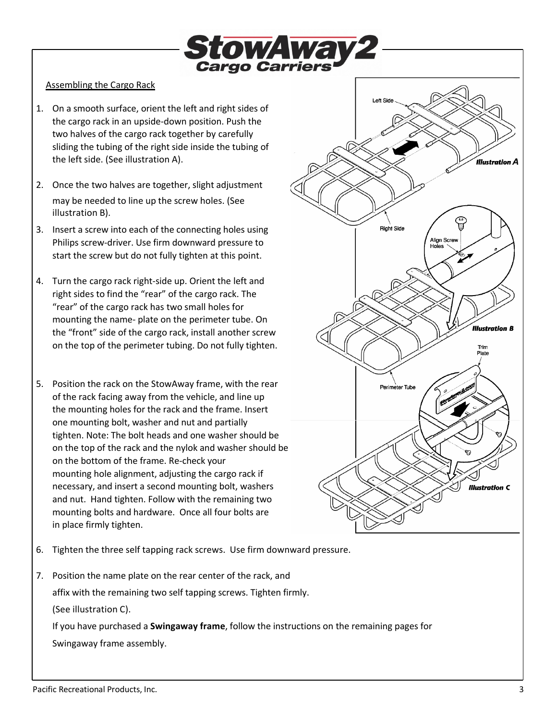

### Assembling the Cargo Rack

- 1. On a smooth surface, orient the left and right sides of the cargo rack in an upside-down position. Push the two halves of the cargo rack together by carefully sliding the tubing of the right side inside the tubing of the left side. (See illustration A).
- 2. Once the two halves are together, slight adjustment may be needed to line up the screw holes. (See illustration B).
- 3. Insert a screw into each of the connecting holes using Philips screw-driver. Use firm downward pressure to start the screw but do not fully tighten at this point.
- 4. Turn the cargo rack right-side up. Orient the left and right sides to find the "rear" of the cargo rack. The "rear" of the cargo rack has two small holes for mounting the name- plate on the perimeter tube. On the "front" side of the cargo rack, install another screw on the top of the perimeter tubing. Do not fully tighten.
- 5. Position the rack on the StowAway frame, with the rear of the rack facing away from the vehicle, and line up the mounting holes for the rack and the frame. Insert one mounting bolt, washer and nut and partially tighten. Note: The bolt heads and one washer should be on the top of the rack and the nylok and washer should be on the bottom of the frame. Re-check your mounting hole alignment, adjusting the cargo rack if necessary, and insert a second mounting bolt, washers and nut. Hand tighten. Follow with the remaining two mounting bolts and hardware. Once all four bolts are in place firmly tighten.



- 6. Tighten the three self tapping rack screws. Use firm downward pressure.
- 7. Position the name plate on the rear center of the rack, and affix with the remaining two self tapping screws. Tighten firmly. (See illustration C). If you have purchased a **Swingaway frame**, follow the instructions on the remaining pages for
	- Swingaway frame assembly.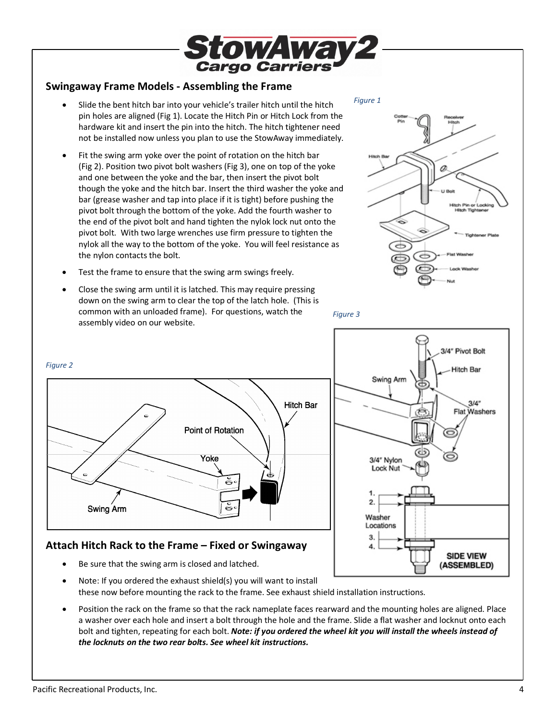

# **Swingaway Frame Models - Assembling the Frame**

- Slide the bent hitch bar into your vehicle's trailer hitch until the hitch pin holes are aligned (Fig 1). Locate the Hitch Pin or Hitch Lock from the hardware kit and insert the pin into the hitch. The hitch tightener need not be installed now unless you plan to use the StowAway immediately.
- Fit the swing arm yoke over the point of rotation on the hitch bar (Fig 2). Position two pivot bolt washers (Fig 3), one on top of the yoke and one between the yoke and the bar, then insert the pivot bolt though the yoke and the hitch bar. Insert the third washer the yoke and bar (grease washer and tap into place if it is tight) before pushing the pivot bolt through the bottom of the yoke. Add the fourth washer to the end of the pivot bolt and hand tighten the nylok lock nut onto the pivot bolt. With two large wrenches use firm pressure to tighten the nylok all the way to the bottom of the yoke. You will feel resistance as the nylon contacts the bolt.
- Test the frame to ensure that the swing arm swings freely.
- Close the swing arm until it is latched. This may require pressing down on the swing arm to clear the top of the latch hole. (This is common with an unloaded frame). For questions, watch the assembly video on our website.



3/4" Pivot Bolt

**Hitch Bar** 

**SIDE VIEW** (ASSEMBLED)

 $3/4"$ **Flat Washers** 

*Figure 3* 

Swing Arm

3/4" Nylon Lock Nut

2.

Washer Locations 3.



### **Attach Hitch Rack to the Frame – Fixed or Swingaway**

- Be sure that the swing arm is closed and latched.
- Note: If you ordered the exhaust shield(s) you will want to install these now before mounting the rack to the frame. See exhaust shield installation instructions.
- Position the rack on the frame so that the rack nameplate faces rearward and the mounting holes are aligned. Place a washer over each hole and insert a bolt through the hole and the frame. Slide a flat washer and locknut onto each bolt and tighten, repeating for each bolt. *Note: if you ordered the wheel kit you will install the wheels instead of the locknuts on the two rear bolts. See wheel kit instructions.*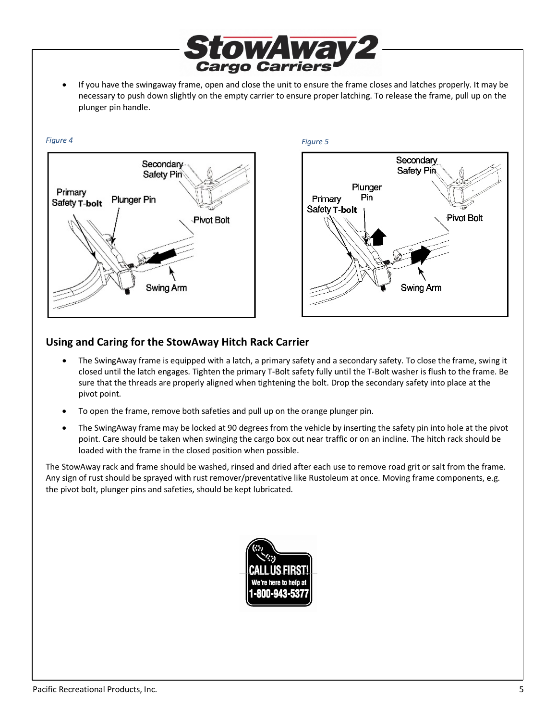• If you have the swingaway frame, open and close the unit to ensure the frame closes and latches properly. It may be necessary to push down slightly on the empty carrier to ensure proper latching. To release the frame, pull up on the plunger pin handle.

*Cargo Carrier* 

owAwav2





### **Using and Caring for the StowAway Hitch Rack Carrier**

- The SwingAway frame is equipped with a latch, a primary safety and a secondary safety. To close the frame, swing it closed until the latch engages. Tighten the primary T-Bolt safety fully until the T-Bolt washer is flush to the frame. Be sure that the threads are properly aligned when tightening the bolt. Drop the secondary safety into place at the pivot point.
- To open the frame, remove both safeties and pull up on the orange plunger pin.
- The SwingAway frame may be locked at 90 degrees from the vehicle by inserting the safety pin into hole at the pivot point. Care should be taken when swinging the cargo box out near traffic or on an incline. The hitch rack should be loaded with the frame in the closed position when possible.

The StowAway rack and frame should be washed, rinsed and dried after each use to remove road grit or salt from the frame. Any sign of rust should be sprayed with rust remover/preventative like Rustoleum at once. Moving frame components, e.g. the pivot bolt, plunger pins and safeties, should be kept lubricated.